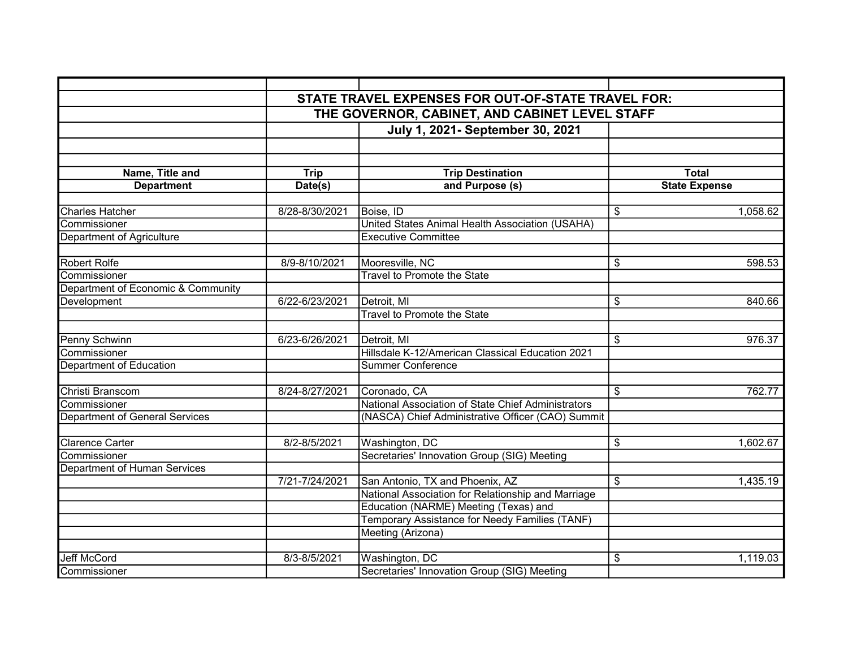|                                       |                                                | STATE TRAVEL EXPENSES FOR OUT-OF-STATE TRAVEL FOR: |                      |  |  |
|---------------------------------------|------------------------------------------------|----------------------------------------------------|----------------------|--|--|
|                                       | THE GOVERNOR, CABINET, AND CABINET LEVEL STAFF |                                                    |                      |  |  |
|                                       |                                                |                                                    |                      |  |  |
|                                       |                                                | July 1, 2021- September 30, 2021                   |                      |  |  |
|                                       |                                                |                                                    |                      |  |  |
| Name, Title and                       | <b>Trip</b>                                    | <b>Trip Destination</b>                            | <b>Total</b>         |  |  |
| <b>Department</b>                     | Date(s)                                        | and Purpose (s)                                    | <b>State Expense</b> |  |  |
|                                       |                                                |                                                    |                      |  |  |
| Charles Hatcher                       | 8/28-8/30/2021                                 | Boise, ID                                          | 1,058.62<br>\$       |  |  |
| Commissioner                          |                                                | United States Animal Health Association (USAHA)    |                      |  |  |
| Department of Agriculture             |                                                | <b>Executive Committee</b>                         |                      |  |  |
| <b>Robert Rolfe</b>                   | 8/9-8/10/2021                                  | Mooresville, NC                                    | 598.53<br>\$         |  |  |
| Commissioner                          |                                                | <b>Travel to Promote the State</b>                 |                      |  |  |
| Department of Economic & Community    |                                                |                                                    |                      |  |  |
| Development                           | 6/22-6/23/2021                                 | Detroit, MI                                        | 840.66<br>\$         |  |  |
|                                       |                                                | <b>Travel to Promote the State</b>                 |                      |  |  |
|                                       |                                                |                                                    |                      |  |  |
| Penny Schwinn                         | 6/23-6/26/2021                                 | Detroit, MI                                        | 976.37<br>\$         |  |  |
| Commissioner                          |                                                | Hillsdale K-12/American Classical Education 2021   |                      |  |  |
| <b>Department of Education</b>        |                                                | <b>Summer Conference</b>                           |                      |  |  |
|                                       |                                                |                                                    |                      |  |  |
| Christi Branscom                      | 8/24-8/27/2021                                 | Coronado, CA                                       | \$<br>762.77         |  |  |
| Commissioner                          |                                                | National Association of State Chief Administrators |                      |  |  |
| <b>Department of General Services</b> |                                                | (NASCA) Chief Administrative Officer (CAO) Summit  |                      |  |  |
|                                       |                                                |                                                    |                      |  |  |
| Clarence Carter                       | 8/2-8/5/2021                                   | Washington, DC                                     | \$<br>1,602.67       |  |  |
| Commissioner                          |                                                | Secretaries' Innovation Group (SIG) Meeting        |                      |  |  |
| Department of Human Services          |                                                |                                                    |                      |  |  |
|                                       | 7/21-7/24/2021                                 | San Antonio, TX and Phoenix, AZ                    | \$<br>1,435.19       |  |  |
|                                       |                                                | National Association for Relationship and Marriage |                      |  |  |
|                                       |                                                | Education (NARME) Meeting (Texas) and              |                      |  |  |
|                                       |                                                | Temporary Assistance for Needy Families (TANF)     |                      |  |  |
|                                       |                                                | Meeting (Arizona)                                  |                      |  |  |
|                                       |                                                |                                                    |                      |  |  |
| <b>Jeff McCord</b>                    | $8/3 - 8/5/2021$                               | Washington, DC                                     | \$<br>1,119.03       |  |  |
| Commissioner                          |                                                | Secretaries' Innovation Group (SIG) Meeting        |                      |  |  |